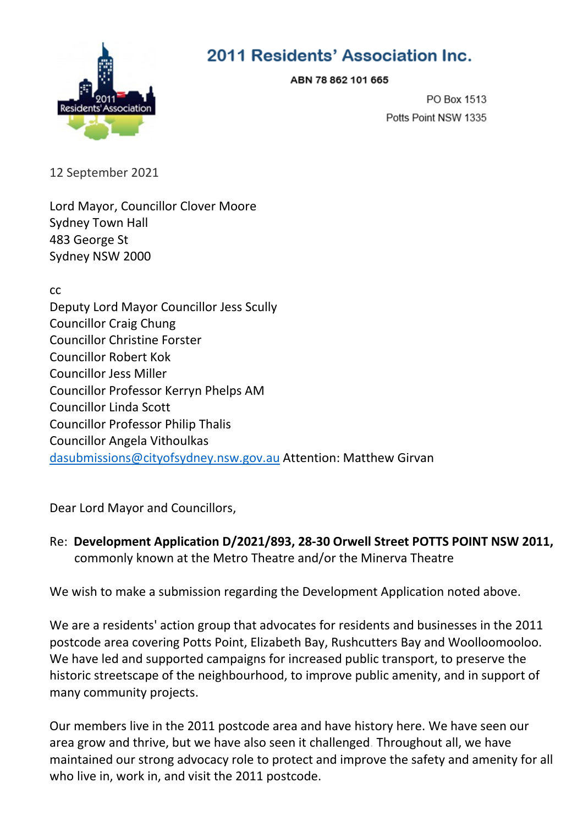

## 2011 Residents' Association Inc.

ABN 78 862 101 665

PO Box 1513 Potts Point NSW 1335

12 September 2021

Lord Mayor, Councillor Clover Moore Sydney Town Hall 483 George St Sydney NSW 2000

cc Deputy Lord Mayor Councillor Jess Scully Councillor Craig Chung Councillor Christine Forster Councillor Robert Kok Councillor Jess Miller Councillor Professor Kerryn Phelps AM Councillor Linda Scott Councillor Professor Philip Thalis Councillor Angela Vithoulkas [dasubmissions@cityofsydney.nsw.gov.au](mailto:dasubmissions@cityofsydney.nsw.gov.au) Attention: Matthew Girvan

Dear Lord Mayor and Councillors,

Re: **Development Application D/2021/893, 28-30 Orwell Street POTTS POINT NSW 2011,**  commonly known at the Metro Theatre and/or the Minerva Theatre

We wish to make a submission regarding the Development Application noted above.

We are a residents' action group that advocates for residents and businesses in the 2011 postcode area covering Potts Point, Elizabeth Bay, Rushcutters Bay and Woolloomooloo. We have led and supported campaigns for increased public transport, to preserve the historic streetscape of the neighbourhood, to improve public amenity, and in support of many community projects.

Our members live in the 2011 postcode area and have history here. We have seen our area grow and thrive, but we have also seen it challenged. Throughout all, we have maintained our strong advocacy role to protect and improve the safety and amenity for all who live in, work in, and visit the 2011 postcode.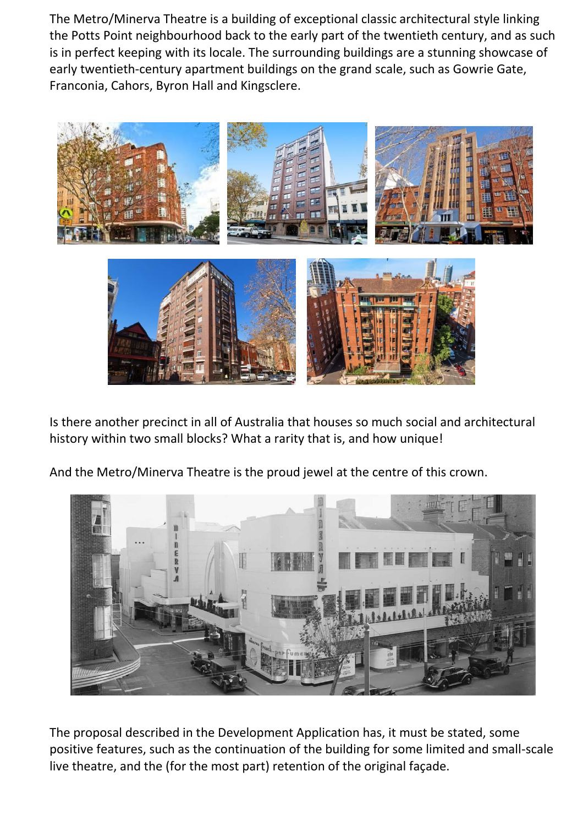The Metro/Minerva Theatre is a building of exceptional classic architectural style linking the Potts Point neighbourhood back to the early part of the twentieth century, and as such is in perfect keeping with its locale. The surrounding buildings are a stunning showcase of early twentieth-century apartment buildings on the grand scale, such as Gowrie Gate, Franconia, Cahors, Byron Hall and Kingsclere.



Is there another precinct in all of Australia that houses so much social and architectural history within two small blocks? What a rarity that is, and how unique!

And the Metro/Minerva Theatre is the proud jewel at the centre of this crown.



The proposal described in the Development Application has, it must be stated, some positive features, such as the continuation of the building for some limited and small-scale live theatre, and the (for the most part) retention of the original façade.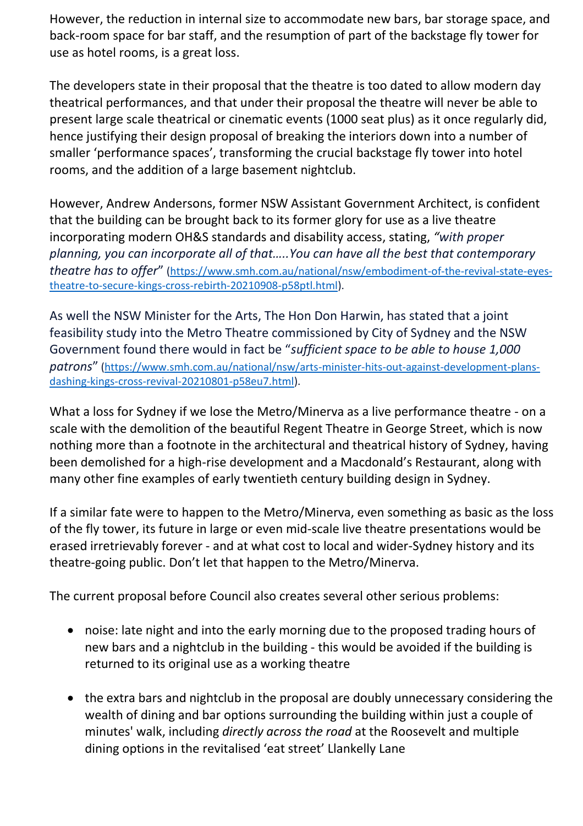However, the reduction in internal size to accommodate new bars, bar storage space, and back-room space for bar staff, and the resumption of part of the backstage fly tower for use as hotel rooms, is a great loss.

The developers state in their proposal that the theatre is too dated to allow modern day theatrical performances, and that under their proposal the theatre will never be able to present large scale theatrical or cinematic events (1000 seat plus) as it once regularly did, hence justifying their design proposal of breaking the interiors down into a number of smaller 'performance spaces', transforming the crucial backstage fly tower into hotel rooms, and the addition of a large basement nightclub.

However, Andrew Andersons, former NSW Assistant Government Architect, is confident that the building can be brought back to its former glory for use as a live theatre incorporating modern OH&S standards and disability access, stating, *"with proper planning, you can incorporate all of that…..You can have all the best that contemporary theatre has to offer*" [\(https://www.smh.com.au/national/nsw/embodiment-of-the-revival-state-eyes](https://www.smh.com.au/national/nsw/embodiment-of-the-revival-state-eyes-theatre-to-secure-kings-cross-rebirth-20210908-p58ptl.html)[theatre-to-secure-kings-cross-rebirth-20210908-p58ptl.html\)](https://www.smh.com.au/national/nsw/embodiment-of-the-revival-state-eyes-theatre-to-secure-kings-cross-rebirth-20210908-p58ptl.html).

As well the NSW Minister for the Arts, The Hon Don Harwin, has stated that a joint feasibility study into the Metro Theatre commissioned by City of Sydney and the NSW Government found there would in fact be "*sufficient space to be able to house 1,000 patrons*" [\(https://www.smh.com.au/national/nsw/arts-minister-hits-out-against-development-plans](https://www.smh.com.au/national/nsw/arts-minister-hits-out-against-development-plans-dashing-kings-cross-revival-20210801-p58eu7.html)[dashing-kings-cross-revival-20210801-p58eu7.html\)](https://www.smh.com.au/national/nsw/arts-minister-hits-out-against-development-plans-dashing-kings-cross-revival-20210801-p58eu7.html).

What a loss for Sydney if we lose the Metro/Minerva as a live performance theatre - on a scale with the demolition of the beautiful Regent Theatre in George Street, which is now nothing more than a footnote in the architectural and theatrical history of Sydney, having been demolished for a high-rise development and a Macdonald's Restaurant, along with many other fine examples of early twentieth century building design in Sydney.

If a similar fate were to happen to the Metro/Minerva, even something as basic as the loss of the fly tower, its future in large or even mid-scale live theatre presentations would be erased irretrievably forever - and at what cost to local and wider-Sydney history and its theatre-going public. Don't let that happen to the Metro/Minerva.

The current proposal before Council also creates several other serious problems:

- noise: late night and into the early morning due to the proposed trading hours of new bars and a nightclub in the building - this would be avoided if the building is returned to its original use as a working theatre
- the extra bars and nightclub in the proposal are doubly unnecessary considering the wealth of dining and bar options surrounding the building within just a couple of minutes' walk, including *directly across the road* at the Roosevelt and multiple dining options in the revitalised 'eat street' Llankelly Lane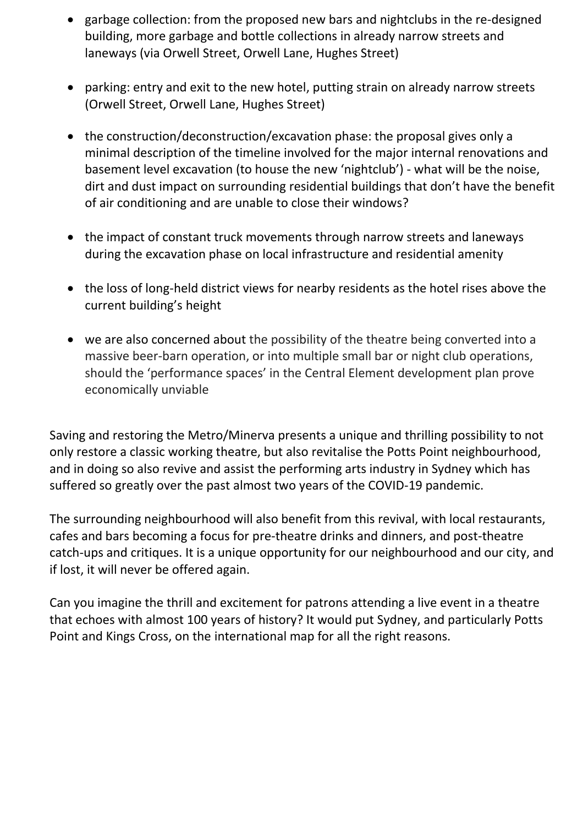- garbage collection: from the proposed new bars and nightclubs in the re-designed building, more garbage and bottle collections in already narrow streets and laneways (via Orwell Street, Orwell Lane, Hughes Street)
- parking: entry and exit to the new hotel, putting strain on already narrow streets (Orwell Street, Orwell Lane, Hughes Street)
- the construction/deconstruction/excavation phase: the proposal gives only a minimal description of the timeline involved for the major internal renovations and basement level excavation (to house the new 'nightclub') - what will be the noise, dirt and dust impact on surrounding residential buildings that don't have the benefit of air conditioning and are unable to close their windows?
- the impact of constant truck movements through narrow streets and laneways during the excavation phase on local infrastructure and residential amenity
- the loss of long-held district views for nearby residents as the hotel rises above the current building's height
- we are also concerned about the possibility of the theatre being converted into a massive beer-barn operation, or into multiple small bar or night club operations, should the 'performance spaces' in the Central Element development plan prove economically unviable

Saving and restoring the Metro/Minerva presents a unique and thrilling possibility to not only restore a classic working theatre, but also revitalise the Potts Point neighbourhood, and in doing so also revive and assist the performing arts industry in Sydney which has suffered so greatly over the past almost two years of the COVID-19 pandemic.

The surrounding neighbourhood will also benefit from this revival, with local restaurants, cafes and bars becoming a focus for pre-theatre drinks and dinners, and post-theatre catch-ups and critiques. It is a unique opportunity for our neighbourhood and our city, and if lost, it will never be offered again.

Can you imagine the thrill and excitement for patrons attending a live event in a theatre that echoes with almost 100 years of history? It would put Sydney, and particularly Potts Point and Kings Cross, on the international map for all the right reasons.